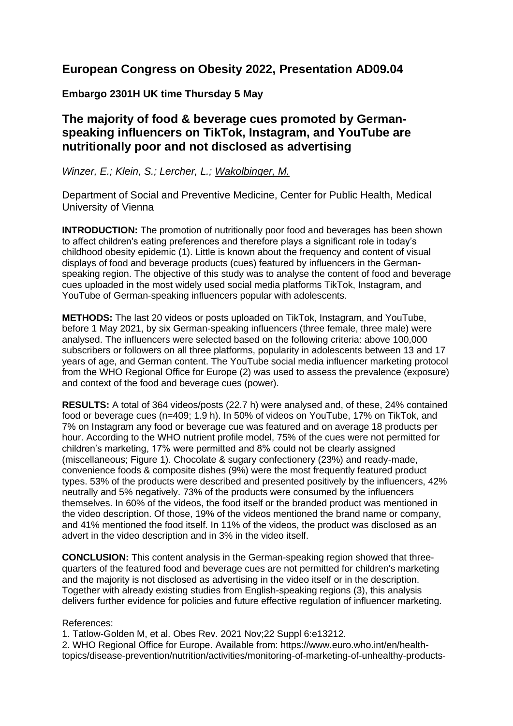# **European Congress on Obesity 2022, Presentation AD09.04**

### **Embargo 2301H UK time Thursday 5 May**

## **The majority of food & beverage cues promoted by Germanspeaking influencers on TikTok, Instagram, and YouTube are nutritionally poor and not disclosed as advertising**

#### *Winzer, E.; Klein, S.; Lercher, L.; Wakolbinger, M.*

Department of Social and Preventive Medicine, Center for Public Health, Medical University of Vienna

**INTRODUCTION:** The promotion of nutritionally poor food and beverages has been shown to affect children's eating preferences and therefore plays a significant role in today's childhood obesity epidemic (1). Little is known about the frequency and content of visual displays of food and beverage products (cues) featured by influencers in the Germanspeaking region. The objective of this study was to analyse the content of food and beverage cues uploaded in the most widely used social media platforms TikTok, Instagram, and YouTube of German-speaking influencers popular with adolescents.

**METHODS:** The last 20 videos or posts uploaded on TikTok, Instagram, and YouTube, before 1 May 2021, by six German-speaking influencers (three female, three male) were analysed. The influencers were selected based on the following criteria: above 100,000 subscribers or followers on all three platforms, popularity in adolescents between 13 and 17 years of age, and German content. The YouTube social media influencer marketing protocol from the WHO Regional Office for Europe (2) was used to assess the prevalence (exposure) and context of the food and beverage cues (power).

**RESULTS:** A total of 364 videos/posts (22.7 h) were analysed and, of these, 24% contained food or beverage cues (n=409; 1.9 h). In 50% of videos on YouTube, 17% on TikTok, and 7% on Instagram any food or beverage cue was featured and on average 18 products per hour. According to the WHO nutrient profile model, 75% of the cues were not permitted for children's marketing, 17% were permitted and 8% could not be clearly assigned (miscellaneous; Figure 1). Chocolate & sugary confectionery (23%) and ready-made, convenience foods & composite dishes (9%) were the most frequently featured product types. 53% of the products were described and presented positively by the influencers, 42% neutrally and 5% negatively. 73% of the products were consumed by the influencers themselves. In 60% of the videos, the food itself or the branded product was mentioned in the video description. Of those, 19% of the videos mentioned the brand name or company, and 41% mentioned the food itself. In 11% of the videos, the product was disclosed as an advert in the video description and in 3% in the video itself.

**CONCLUSION:** This content analysis in the German-speaking region showed that threequarters of the featured food and beverage cues are not permitted for children's marketing and the majority is not disclosed as advertising in the video itself or in the description. Together with already existing studies from English-speaking regions (3), this analysis delivers further evidence for policies and future effective regulation of influencer marketing.

#### References:

1. Tatlow-Golden M, et al. Obes Rev. 2021 Nov;22 Suppl 6:e13212.

2. WHO Regional Office for Europe. Available from: https://www.euro.who.int/en/healthtopics/disease-prevention/nutrition/activities/monitoring-of-marketing-of-unhealthy-products